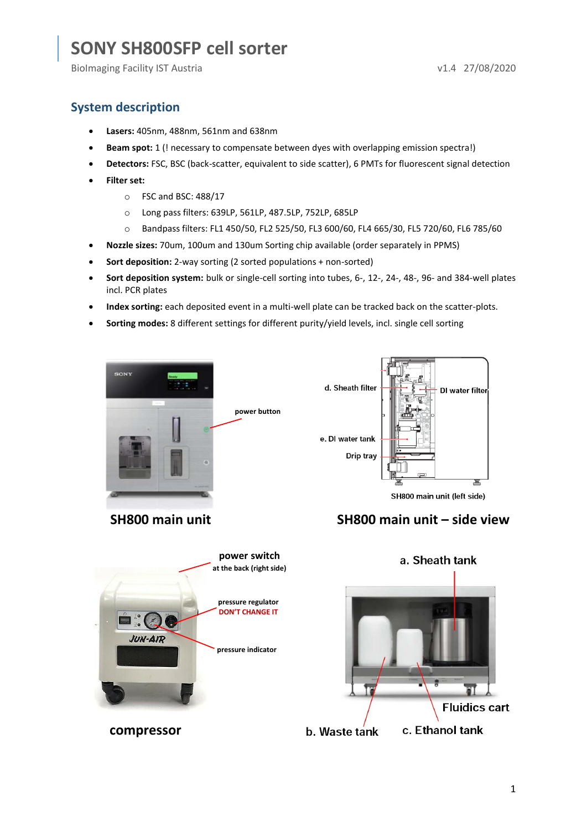BioImaging Facility IST Austria v1.4 27/08/2020

### **System description**

- **Lasers:** 405nm, 488nm, 561nm and 638nm
- **Beam spot:** 1 (! necessary to compensate between dyes with overlapping emission spectra!)
- **Detectors:** FSC, BSC (back-scatter, equivalent to side scatter), 6 PMTs for fluorescent signal detection
- **Filter set:**
	- o FSC and BSC: 488/17
	- o Long pass filters: 639LP, 561LP, 487.5LP, 752LP, 685LP
	- o Bandpass filters: FL1 450/50, FL2 525/50, FL3 600/60, FL4 665/30, FL5 720/60, FL6 785/60
- **Nozzle sizes:** 70um, 100um and 130um Sorting chip available (order separately in PPMS)
- **Sort deposition:** 2-way sorting (2 sorted populations + non-sorted)
- **Sort deposition system:** bulk or single-cell sorting into tubes, 6-, 12-, 24-, 48-, 96- and 384-well plates incl. PCR plates
- **Index sorting:** each deposited event in a multi-well plate can be tracked back on the scatter-plots.
- **Sorting modes:** 8 different settings for different purity/yield levels, incl. single cell sorting



d. Sheath filter DI water filter e. DI water tank Drip tray 늌 SH800 main unit (left side)





a. Sheath tank ä **Fluidics cart** c. Ethanol tank **b.** Waste tank

1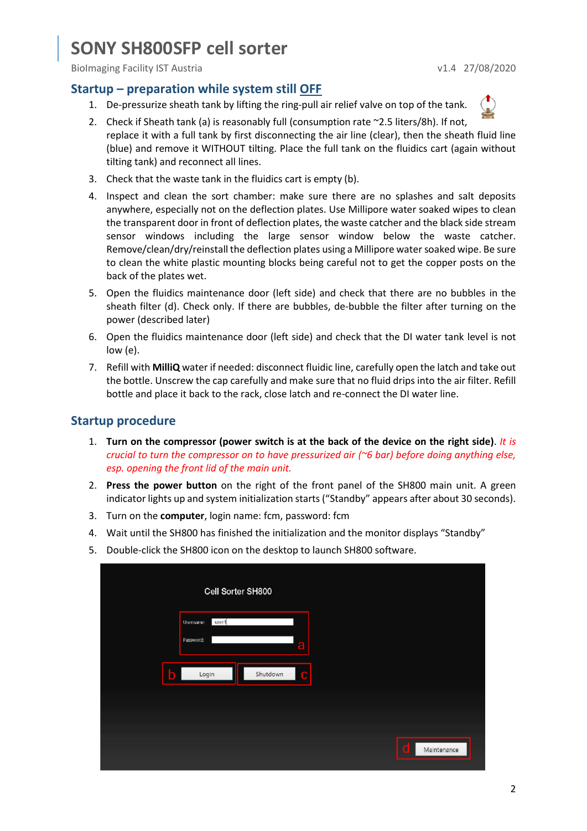BioImaging Facility IST Austria v1.4 27/08/2020

### **Startup – preparation while system still OFF**

- 1. De-pressurize sheath tank by lifting the ring-pull air relief valve on top of the tank.
- 2. Check if Sheath tank (a) is reasonably full (consumption rate ~2.5 liters/8h). If not, replace it with a full tank by first disconnecting the air line (clear), then the sheath fluid line (blue) and remove it WITHOUT tilting. Place the full tank on the fluidics cart (again without tilting tank) and reconnect all lines.
- 3. Check that the waste tank in the fluidics cart is empty (b).
- 4. Inspect and clean the sort chamber: make sure there are no splashes and salt deposits anywhere, especially not on the deflection plates. Use Millipore water soaked wipes to clean the transparent door in front of deflection plates, the waste catcher and the black side stream sensor windows including the large sensor window below the waste catcher. Remove/clean/dry/reinstall the deflection plates using a Millipore water soaked wipe. Be sure to clean the white plastic mounting blocks being careful not to get the copper posts on the back of the plates wet.
- 5. Open the fluidics maintenance door (left side) and check that there are no bubbles in the sheath filter (d). Check only. If there are bubbles, de-bubble the filter after turning on the power (described later)
- 6. Open the fluidics maintenance door (left side) and check that the DI water tank level is not low (e).
- 7. Refill with **MilliQ** water if needed: disconnect fluidic line, carefully open the latch and take out the bottle. Unscrew the cap carefully and make sure that no fluid drips into the air filter. Refill bottle and place it back to the rack, close latch and re-connect the DI water line.

### **Startup procedure**

- 1. **Turn on the compressor (power switch is at the back of the device on the right side)**. *It is crucial to turn the compressor on to have pressurized air (~6 bar) before doing anything else, esp. opening the front lid of the main unit.*
- 2. **Press the power button** on the right of the front panel of the SH800 main unit. A green indicator lights up and system initialization starts ("Standby" appears after about 30 seconds).
- 3. Turn on the **computer**, login name: fcm, password: fcm
- 4. Wait until the SH800 has finished the initialization and the monitor displays "Standby"
- 5. Double-click the SH800 icon on the desktop to launch SH800 software.

|             |                                 | Cell Sorter SH800 |                  |  |
|-------------|---------------------------------|-------------------|------------------|--|
|             | user1<br>Username:<br>Password: |                   |                  |  |
|             |                                 | a                 |                  |  |
| $\mathbf b$ | Login                           | Shutdown<br>C     |                  |  |
|             |                                 |                   |                  |  |
|             |                                 |                   | d<br>Maintenance |  |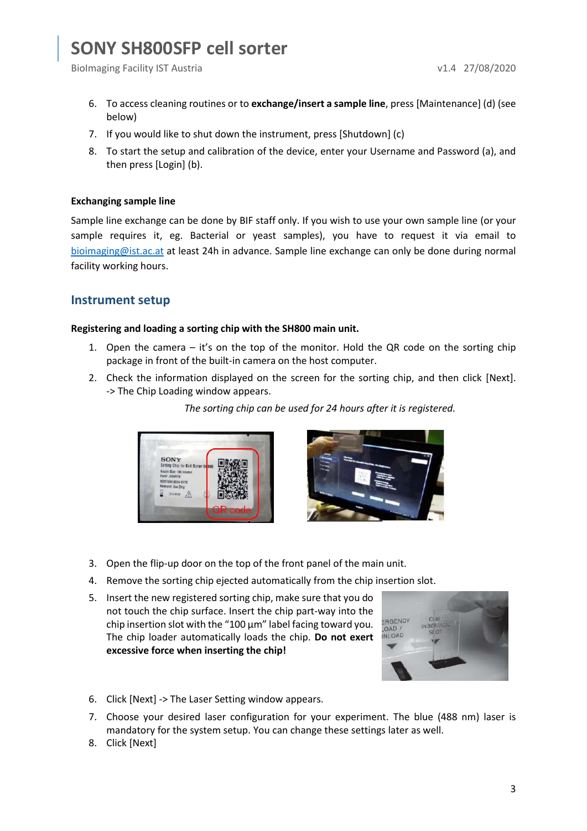BioImaging Facility IST Austria v1.4 27/08/2020

- 6. To access cleaning routines or to **exchange/insert a sample line**, press [Maintenance] (d) (see below)
- 7. If you would like to shut down the instrument, press [Shutdown] (c)
- 8. To start the setup and calibration of the device, enter your Username and Password (a), and then press [Login] (b).

#### **Exchanging sample line**

Sample line exchange can be done by BIF staff only. If you wish to use your own sample line (or your sample requires it, eg. Bacterial or yeast samples), you have to request it via email to [bioimaging@ist.ac.at](mailto:bioimaging@ist.ac.at) at least 24h in advance. Sample line exchange can only be done during normal facility working hours.

### **Instrument setup**

#### **Registering and loading a sorting chip with the SH800 main unit.**

- 1. Open the camera it's on the top of the monitor. Hold the QR code on the sorting chip package in front of the built-in camera on the host computer.
- 2. Check the information displayed on the screen for the sorting chip, and then click [Next]. -> The Chip Loading window appears.

*The sorting chip can be used for 24 hours after it is registered.*





- 3. Open the flip-up door on the top of the front panel of the main unit.
- 4. Remove the sorting chip ejected automatically from the chip insertion slot.
- 5. Insert the new registered sorting chip, make sure that you do not touch the chip surface. Insert the chip part-way into the chip insertion slot with the "100 μm" label facing toward you. The chip loader automatically loads the chip. **Do not exert excessive force when inserting the chip!**



- 6. Click [Next] -> The Laser Setting window appears.
- 7. Choose your desired laser configuration for your experiment. The blue (488 nm) laser is mandatory for the system setup. You can change these settings later as well.
- 8. Click [Next]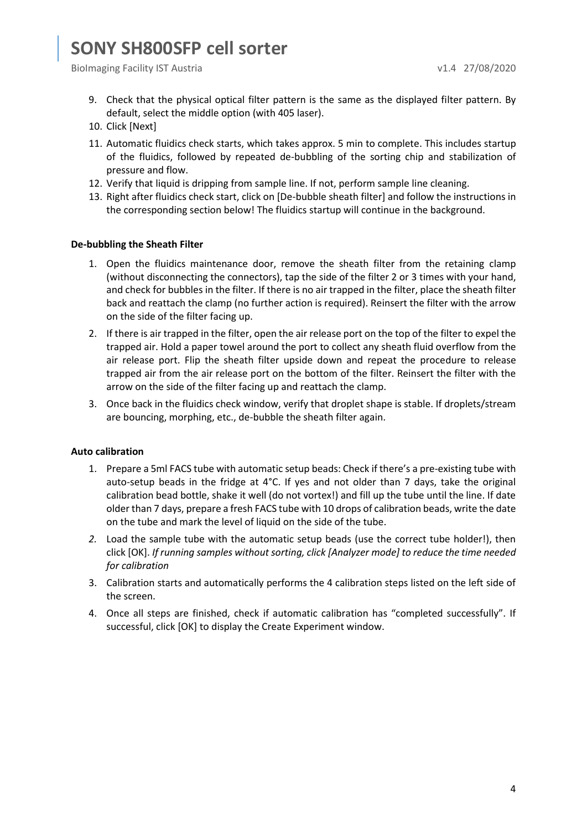- 9. Check that the physical optical filter pattern is the same as the displayed filter pattern. By default, select the middle option (with 405 laser).
- 10. Click [Next]
- 11. Automatic fluidics check starts, which takes approx. 5 min to complete. This includes startup of the fluidics, followed by repeated de-bubbling of the sorting chip and stabilization of pressure and flow.
- 12. Verify that liquid is dripping from sample line. If not, perform sample line cleaning.
- 13. Right after fluidics check start, click on [De-bubble sheath filter] and follow the instructions in the corresponding section below! The fluidics startup will continue in the background.

#### **De-bubbling the Sheath Filter**

- 1. Open the fluidics maintenance door, remove the sheath filter from the retaining clamp (without disconnecting the connectors), tap the side of the filter 2 or 3 times with your hand, and check for bubbles in the filter. If there is no air trapped in the filter, place the sheath filter back and reattach the clamp (no further action is required). Reinsert the filter with the arrow on the side of the filter facing up.
- 2. If there is air trapped in the filter, open the air release port on the top of the filter to expel the trapped air. Hold a paper towel around the port to collect any sheath fluid overflow from the air release port. Flip the sheath filter upside down and repeat the procedure to release trapped air from the air release port on the bottom of the filter. Reinsert the filter with the arrow on the side of the filter facing up and reattach the clamp.
- 3. Once back in the fluidics check window, verify that droplet shape is stable. If droplets/stream are bouncing, morphing, etc., de-bubble the sheath filter again.

#### **Auto calibration**

- 1. Prepare a 5ml FACS tube with automatic setup beads: Check if there's a pre-existing tube with auto-setup beads in the fridge at 4°C. If yes and not older than 7 days, take the original calibration bead bottle, shake it well (do not vortex!) and fill up the tube until the line. If date older than 7 days, prepare a fresh FACS tube with 10 drops of calibration beads, write the date on the tube and mark the level of liquid on the side of the tube.
- *2.* Load the sample tube with the automatic setup beads (use the correct tube holder!), then click [OK]. *If running samples without sorting, click [Analyzer mode] to reduce the time needed for calibration*
- 3. Calibration starts and automatically performs the 4 calibration steps listed on the left side of the screen.
- 4. Once all steps are finished, check if automatic calibration has "completed successfully". If successful, click [OK] to display the Create Experiment window.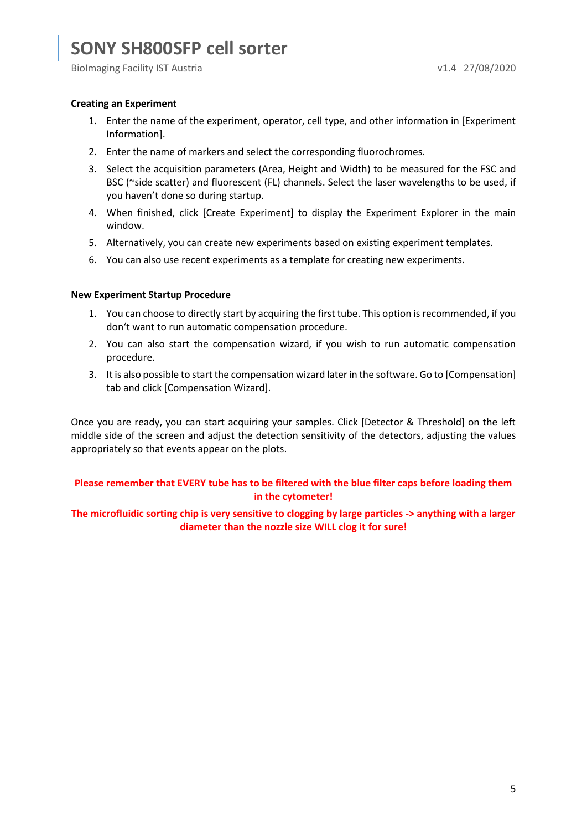BioImaging Facility IST Austria v1.4 27/08/2020

#### **Creating an Experiment**

- 1. Enter the name of the experiment, operator, cell type, and other information in [Experiment Information].
- 2. Enter the name of markers and select the corresponding fluorochromes.
- 3. Select the acquisition parameters (Area, Height and Width) to be measured for the FSC and BSC (~side scatter) and fluorescent (FL) channels. Select the laser wavelengths to be used, if you haven't done so during startup.
- 4. When finished, click [Create Experiment] to display the Experiment Explorer in the main window.
- 5. Alternatively, you can create new experiments based on existing experiment templates.
- 6. You can also use recent experiments as a template for creating new experiments.

#### **New Experiment Startup Procedure**

- 1. You can choose to directly start by acquiring the first tube. This option is recommended, if you don't want to run automatic compensation procedure.
- 2. You can also start the compensation wizard, if you wish to run automatic compensation procedure.
- 3. It is also possible to start the compensation wizard later in the software. Go to [Compensation] tab and click [Compensation Wizard].

Once you are ready, you can start acquiring your samples. Click [Detector & Threshold] on the left middle side of the screen and adjust the detection sensitivity of the detectors, adjusting the values appropriately so that events appear on the plots.

### **Please remember that EVERY tube has to be filtered with the blue filter caps before loading them in the cytometer!**

#### **The microfluidic sorting chip is very sensitive to clogging by large particles -> anything with a larger diameter than the nozzle size WILL clog it for sure!**